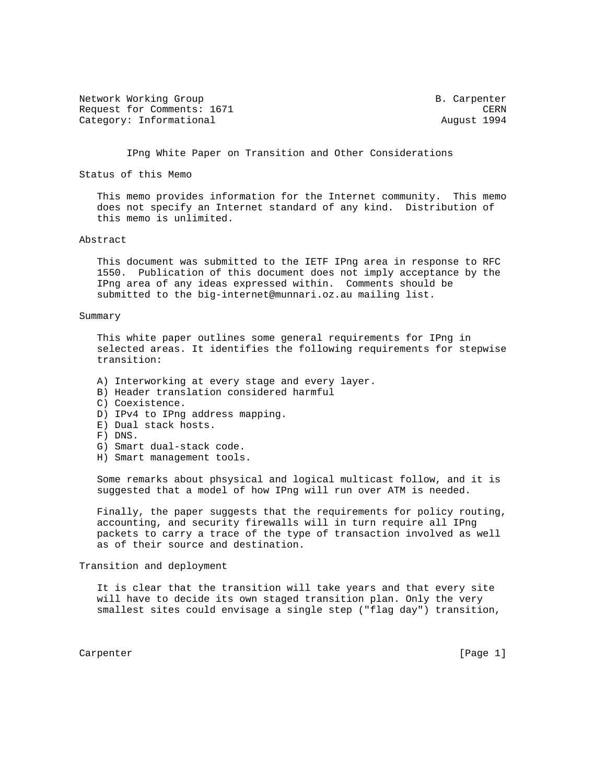| Network Working Group      | B. Carpenter |      |
|----------------------------|--------------|------|
| Request for Comments: 1671 |              | CERN |
| Category: Informational    | August 1994  |      |

IPng White Paper on Transition and Other Considerations

Status of this Memo

 This memo provides information for the Internet community. This memo does not specify an Internet standard of any kind. Distribution of this memo is unlimited.

## Abstract

 This document was submitted to the IETF IPng area in response to RFC 1550. Publication of this document does not imply acceptance by the IPng area of any ideas expressed within. Comments should be submitted to the big-internet@munnari.oz.au mailing list.

## Summary

 This white paper outlines some general requirements for IPng in selected areas. It identifies the following requirements for stepwise transition:

- A) Interworking at every stage and every layer.
- B) Header translation considered harmful
- C) Coexistence.
- D) IPv4 to IPng address mapping.
- E) Dual stack hosts.
- F) DNS.
- G) Smart dual-stack code.
- H) Smart management tools.

 Some remarks about phsysical and logical multicast follow, and it is suggested that a model of how IPng will run over ATM is needed.

 Finally, the paper suggests that the requirements for policy routing, accounting, and security firewalls will in turn require all IPng packets to carry a trace of the type of transaction involved as well as of their source and destination.

Transition and deployment

 It is clear that the transition will take years and that every site will have to decide its own staged transition plan. Only the very smallest sites could envisage a single step ("flag day") transition,

Carpenter [Page 1]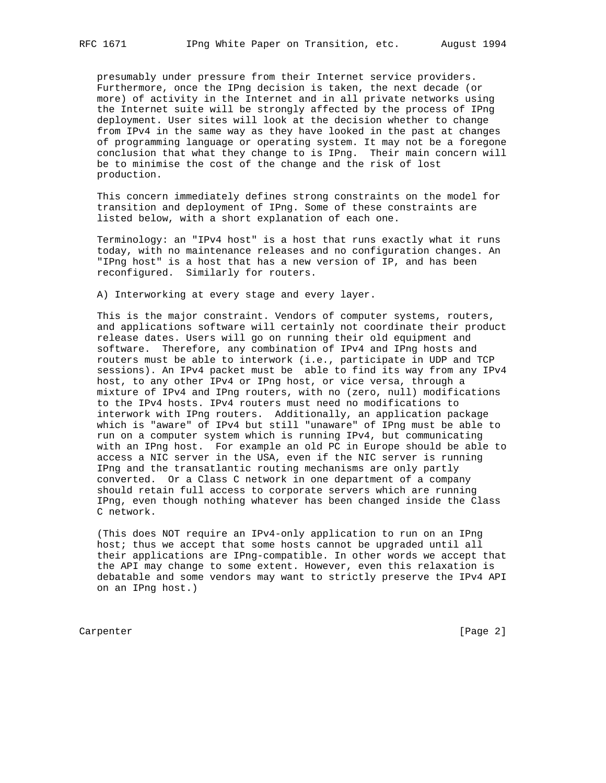presumably under pressure from their Internet service providers. Furthermore, once the IPng decision is taken, the next decade (or more) of activity in the Internet and in all private networks using the Internet suite will be strongly affected by the process of IPng deployment. User sites will look at the decision whether to change from IPv4 in the same way as they have looked in the past at changes of programming language or operating system. It may not be a foregone conclusion that what they change to is IPng. Their main concern will be to minimise the cost of the change and the risk of lost production.

 This concern immediately defines strong constraints on the model for transition and deployment of IPng. Some of these constraints are listed below, with a short explanation of each one.

 Terminology: an "IPv4 host" is a host that runs exactly what it runs today, with no maintenance releases and no configuration changes. An "IPng host" is a host that has a new version of IP, and has been reconfigured. Similarly for routers.

A) Interworking at every stage and every layer.

 This is the major constraint. Vendors of computer systems, routers, and applications software will certainly not coordinate their product release dates. Users will go on running their old equipment and software. Therefore, any combination of IPv4 and IPng hosts and routers must be able to interwork (i.e., participate in UDP and TCP sessions). An IPv4 packet must be able to find its way from any IPv4 host, to any other IPv4 or IPng host, or vice versa, through a mixture of IPv4 and IPng routers, with no (zero, null) modifications to the IPv4 hosts. IPv4 routers must need no modifications to interwork with IPng routers. Additionally, an application package which is "aware" of IPv4 but still "unaware" of IPng must be able to run on a computer system which is running IPv4, but communicating with an IPng host. For example an old PC in Europe should be able to access a NIC server in the USA, even if the NIC server is running IPng and the transatlantic routing mechanisms are only partly converted. Or a Class C network in one department of a company should retain full access to corporate servers which are running IPng, even though nothing whatever has been changed inside the Class C network.

 (This does NOT require an IPv4-only application to run on an IPng host; thus we accept that some hosts cannot be upgraded until all their applications are IPng-compatible. In other words we accept that the API may change to some extent. However, even this relaxation is debatable and some vendors may want to strictly preserve the IPv4 API on an IPng host.)

Carpenter [Page 2]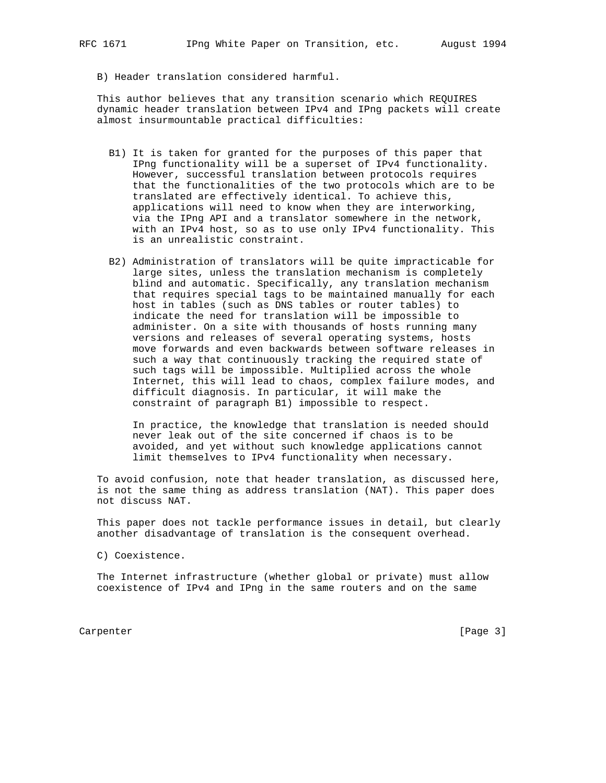B) Header translation considered harmful.

 This author believes that any transition scenario which REQUIRES dynamic header translation between IPv4 and IPng packets will create almost insurmountable practical difficulties:

- B1) It is taken for granted for the purposes of this paper that IPng functionality will be a superset of IPv4 functionality. However, successful translation between protocols requires that the functionalities of the two protocols which are to be translated are effectively identical. To achieve this, applications will need to know when they are interworking, via the IPng API and a translator somewhere in the network, with an IPv4 host, so as to use only IPv4 functionality. This is an unrealistic constraint.
- B2) Administration of translators will be quite impracticable for large sites, unless the translation mechanism is completely blind and automatic. Specifically, any translation mechanism that requires special tags to be maintained manually for each host in tables (such as DNS tables or router tables) to indicate the need for translation will be impossible to administer. On a site with thousands of hosts running many versions and releases of several operating systems, hosts move forwards and even backwards between software releases in such a way that continuously tracking the required state of such tags will be impossible. Multiplied across the whole Internet, this will lead to chaos, complex failure modes, and difficult diagnosis. In particular, it will make the constraint of paragraph B1) impossible to respect.

 In practice, the knowledge that translation is needed should never leak out of the site concerned if chaos is to be avoided, and yet without such knowledge applications cannot limit themselves to IPv4 functionality when necessary.

 To avoid confusion, note that header translation, as discussed here, is not the same thing as address translation (NAT). This paper does not discuss NAT.

 This paper does not tackle performance issues in detail, but clearly another disadvantage of translation is the consequent overhead.

C) Coexistence.

 The Internet infrastructure (whether global or private) must allow coexistence of IPv4 and IPng in the same routers and on the same

Carpenter [Page 3]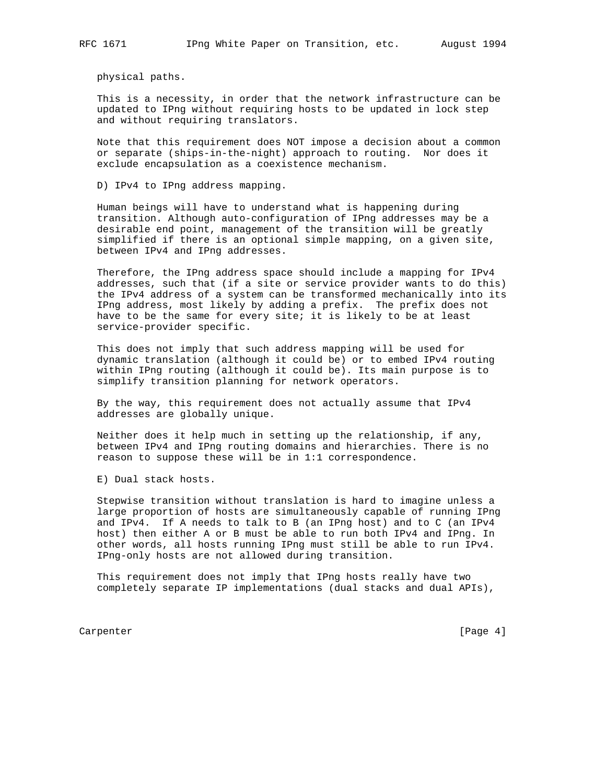physical paths.

 This is a necessity, in order that the network infrastructure can be updated to IPng without requiring hosts to be updated in lock step and without requiring translators.

 Note that this requirement does NOT impose a decision about a common or separate (ships-in-the-night) approach to routing. Nor does it exclude encapsulation as a coexistence mechanism.

D) IPv4 to IPng address mapping.

 Human beings will have to understand what is happening during transition. Although auto-configuration of IPng addresses may be a desirable end point, management of the transition will be greatly simplified if there is an optional simple mapping, on a given site, between IPv4 and IPng addresses.

 Therefore, the IPng address space should include a mapping for IPv4 addresses, such that (if a site or service provider wants to do this) the IPv4 address of a system can be transformed mechanically into its IPng address, most likely by adding a prefix. The prefix does not have to be the same for every site; it is likely to be at least service-provider specific.

 This does not imply that such address mapping will be used for dynamic translation (although it could be) or to embed IPv4 routing within IPng routing (although it could be). Its main purpose is to simplify transition planning for network operators.

 By the way, this requirement does not actually assume that IPv4 addresses are globally unique.

 Neither does it help much in setting up the relationship, if any, between IPv4 and IPng routing domains and hierarchies. There is no reason to suppose these will be in 1:1 correspondence.

E) Dual stack hosts.

 Stepwise transition without translation is hard to imagine unless a large proportion of hosts are simultaneously capable of running IPng and IPv4. If A needs to talk to B (an IPng host) and to C (an IPv4 host) then either A or B must be able to run both IPv4 and IPng. In other words, all hosts running IPng must still be able to run IPv4. IPng-only hosts are not allowed during transition.

 This requirement does not imply that IPng hosts really have two completely separate IP implementations (dual stacks and dual APIs),

Carpenter [Page 4]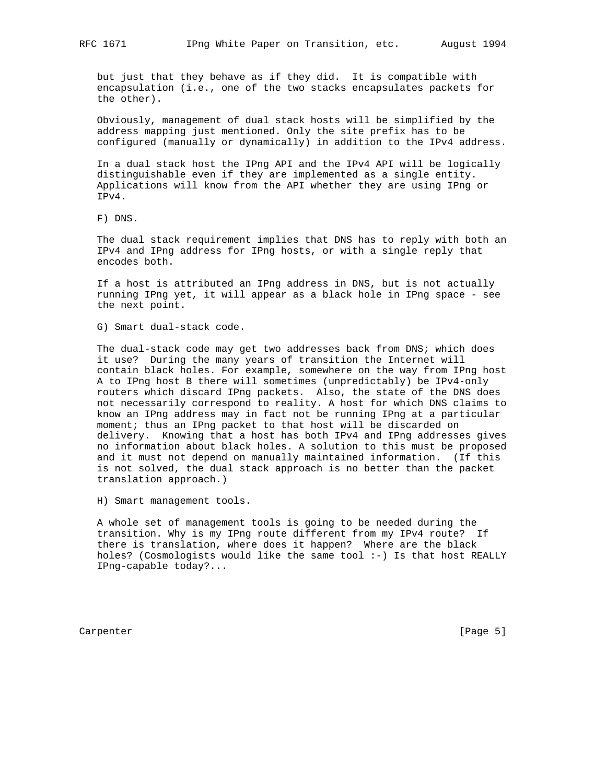but just that they behave as if they did. It is compatible with encapsulation (i.e., one of the two stacks encapsulates packets for the other).

 Obviously, management of dual stack hosts will be simplified by the address mapping just mentioned. Only the site prefix has to be configured (manually or dynamically) in addition to the IPv4 address.

 In a dual stack host the IPng API and the IPv4 API will be logically distinguishable even if they are implemented as a single entity. Applications will know from the API whether they are using IPng or IPv4.

F) DNS.

 The dual stack requirement implies that DNS has to reply with both an IPv4 and IPng address for IPng hosts, or with a single reply that encodes both.

 If a host is attributed an IPng address in DNS, but is not actually running IPng yet, it will appear as a black hole in IPng space - see the next point.

G) Smart dual-stack code.

 The dual-stack code may get two addresses back from DNS; which does it use? During the many years of transition the Internet will contain black holes. For example, somewhere on the way from IPng host A to IPng host B there will sometimes (unpredictably) be IPv4-only routers which discard IPng packets. Also, the state of the DNS does not necessarily correspond to reality. A host for which DNS claims to know an IPng address may in fact not be running IPng at a particular moment; thus an IPng packet to that host will be discarded on delivery. Knowing that a host has both IPv4 and IPng addresses gives no information about black holes. A solution to this must be proposed and it must not depend on manually maintained information. (If this is not solved, the dual stack approach is no better than the packet translation approach.)

H) Smart management tools.

 A whole set of management tools is going to be needed during the transition. Why is my IPng route different from my IPv4 route? If there is translation, where does it happen? Where are the black holes? (Cosmologists would like the same tool  $:-$ ) Is that host REALLY IPng-capable today?...

Carpenter [Page 5]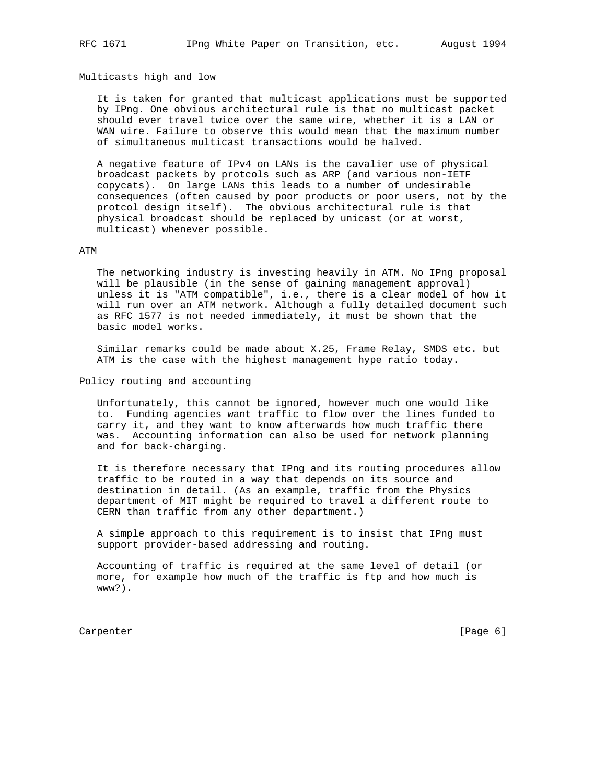Multicasts high and low

 It is taken for granted that multicast applications must be supported by IPng. One obvious architectural rule is that no multicast packet should ever travel twice over the same wire, whether it is a LAN or WAN wire. Failure to observe this would mean that the maximum number of simultaneous multicast transactions would be halved.

 A negative feature of IPv4 on LANs is the cavalier use of physical broadcast packets by protcols such as ARP (and various non-IETF copycats). On large LANs this leads to a number of undesirable consequences (often caused by poor products or poor users, not by the protcol design itself). The obvious architectural rule is that physical broadcast should be replaced by unicast (or at worst, multicast) whenever possible.

## ATM

 The networking industry is investing heavily in ATM. No IPng proposal will be plausible (in the sense of gaining management approval) unless it is "ATM compatible", i.e., there is a clear model of how it will run over an ATM network. Although a fully detailed document such as RFC 1577 is not needed immediately, it must be shown that the basic model works.

 Similar remarks could be made about X.25, Frame Relay, SMDS etc. but ATM is the case with the highest management hype ratio today.

Policy routing and accounting

 Unfortunately, this cannot be ignored, however much one would like to. Funding agencies want traffic to flow over the lines funded to carry it, and they want to know afterwards how much traffic there was. Accounting information can also be used for network planning and for back-charging.

 It is therefore necessary that IPng and its routing procedures allow traffic to be routed in a way that depends on its source and destination in detail. (As an example, traffic from the Physics department of MIT might be required to travel a different route to CERN than traffic from any other department.)

 A simple approach to this requirement is to insist that IPng must support provider-based addressing and routing.

 Accounting of traffic is required at the same level of detail (or more, for example how much of the traffic is ftp and how much is www?).

Carpenter [Page 6]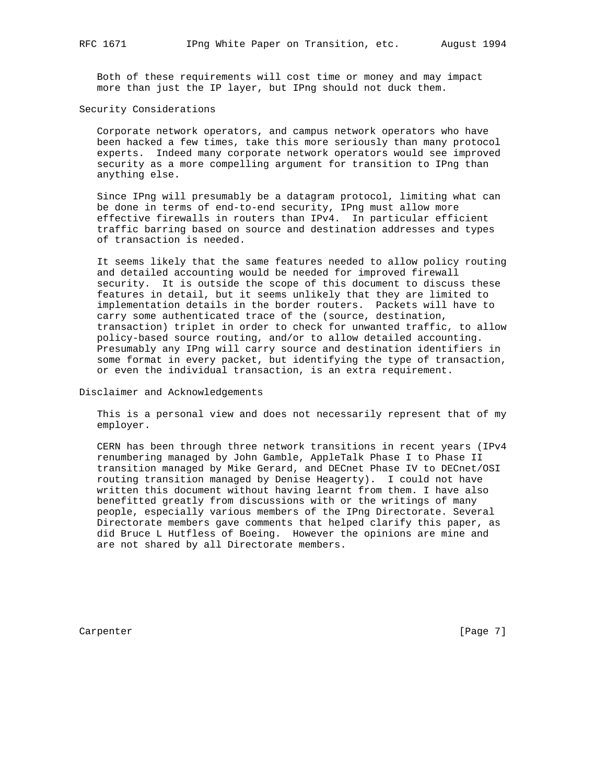Both of these requirements will cost time or money and may impact more than just the IP layer, but IPng should not duck them.

## Security Considerations

 Corporate network operators, and campus network operators who have been hacked a few times, take this more seriously than many protocol experts. Indeed many corporate network operators would see improved security as a more compelling argument for transition to IPng than anything else.

 Since IPng will presumably be a datagram protocol, limiting what can be done in terms of end-to-end security, IPng must allow more effective firewalls in routers than IPv4. In particular efficient traffic barring based on source and destination addresses and types of transaction is needed.

 It seems likely that the same features needed to allow policy routing and detailed accounting would be needed for improved firewall security. It is outside the scope of this document to discuss these features in detail, but it seems unlikely that they are limited to implementation details in the border routers. Packets will have to carry some authenticated trace of the (source, destination, transaction) triplet in order to check for unwanted traffic, to allow policy-based source routing, and/or to allow detailed accounting. Presumably any IPng will carry source and destination identifiers in some format in every packet, but identifying the type of transaction, or even the individual transaction, is an extra requirement.

Disclaimer and Acknowledgements

 This is a personal view and does not necessarily represent that of my employer.

 CERN has been through three network transitions in recent years (IPv4 renumbering managed by John Gamble, AppleTalk Phase I to Phase II transition managed by Mike Gerard, and DECnet Phase IV to DECnet/OSI routing transition managed by Denise Heagerty). I could not have written this document without having learnt from them. I have also benefitted greatly from discussions with or the writings of many people, especially various members of the IPng Directorate. Several Directorate members gave comments that helped clarify this paper, as did Bruce L Hutfless of Boeing. However the opinions are mine and are not shared by all Directorate members.

Carpenter [Page 7]